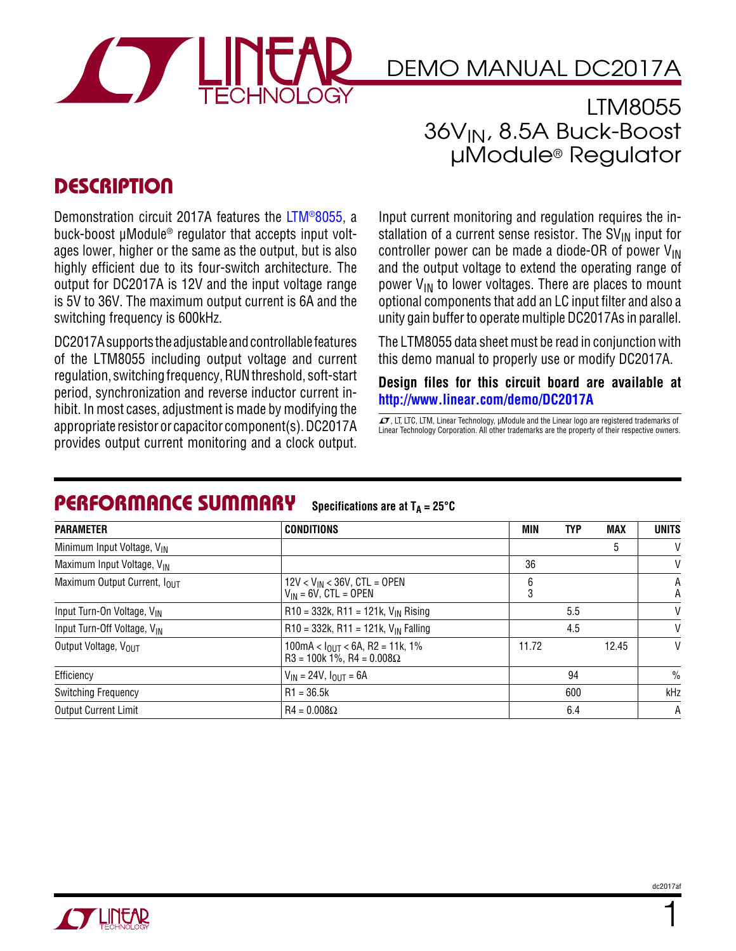

LTM8055 36VIN, 8.5A Buck-Boost μModule® Regulator

#### **DESCRIPTION**

Demonstration circuit 2017A features the [LTM®8055](http://www.linear.com/LTM8055), a buck-boost μModule® regulator that accepts input voltages lower, higher or the same as the output, but is also highly efficient due to its four-switch architecture. The output for DC2017A is 12V and the input voltage range is 5V to 36V. The maximum output current is 6A and the switching frequency is 600kHz.

DC2017A supports the adjustable and controllable features of the LTM8055 including output voltage and current regulation, switching frequency, RUN threshold, soft-start period, synchronization and reverse inductor current inhibit. In most cases, adjustment is made by modifying the appropriate resistor or capacitor component(s). DC2017A provides output current monitoring and a clock output.

Input current monitoring and regulation requires the installation of a current sense resistor. The  $SV_{IN}$  input for controller power can be made a diode-OR of power  $V_{IN}$ and the output voltage to extend the operating range of power  $V_{IN}$  to lower voltages. There are places to mount optional components that add an LC input filter and also a unity gain bufferto operate multiple DC2017As in parallel.

The LTM8055 data sheet must be read in conjunction with this demo manual to properly use or modify DC2017A.

**Design files for this circuit board are available at <http://www.linear.com/demo/DC2017A>**

 $\sqrt{J}$ , LT, LTC, LTM, Linear Technology, µModule and the Linear logo are registered trademarks of Linear Technology Corporation. All other trademarks are the property of their respective owners.

#### Performance Summary **Specifications** are at  $T_A = 25^\circ C$

| <b>PARAMETER</b>                         | <b>CONDITIONS</b>                                                          | MIN    | <b>TYP</b> | <b>MAX</b>    | <b>UNITS</b> |
|------------------------------------------|----------------------------------------------------------------------------|--------|------------|---------------|--------------|
| Minimum Input Voltage, V <sub>IN</sub>   |                                                                            |        |            | 5             | V            |
| Maximum Input Voltage, V <sub>IN</sub>   |                                                                            | 36     |            |               | V            |
| Maximum Output Current, I <sub>OUT</sub> | $12V < V_{IN} < 36V$ , CTL = OPEN<br>$V_{IN}$ = 6V, CTL = OPEN             | 6<br>3 |            |               | Α<br>Α       |
| Input Turn-On Voltage, VIN               | $R10 = 332k$ , $R11 = 121k$ , $V_{IN}$ Rising                              | 5.5    |            | V             |              |
| Input Turn-Off Voltage, V <sub>IN</sub>  | $R10 = 332k$ , $R11 = 121k$ , $V_{IN}$ Falling                             | 4.5    |            | V             |              |
| Output Voltage, VOUT                     | $100mA < IOUT < 6A$ , R2 = 11k, 1%<br>$R3 = 100k 1\%$ , $R4 = 0.008\Omega$ | 11.72  |            | 12.45         | V            |
| Efficiency                               | $V_{IN}$ = 24V, $I_{OUT}$ = 6A                                             | 94     |            | $\frac{0}{0}$ |              |
| <b>Switching Frequency</b>               | $R1 = 36.5k$                                                               | 600    |            | kHz           |              |
| <b>Output Current Limit</b>              | $R4 = 0.008\Omega$                                                         | 6.4    |            |               | A            |

1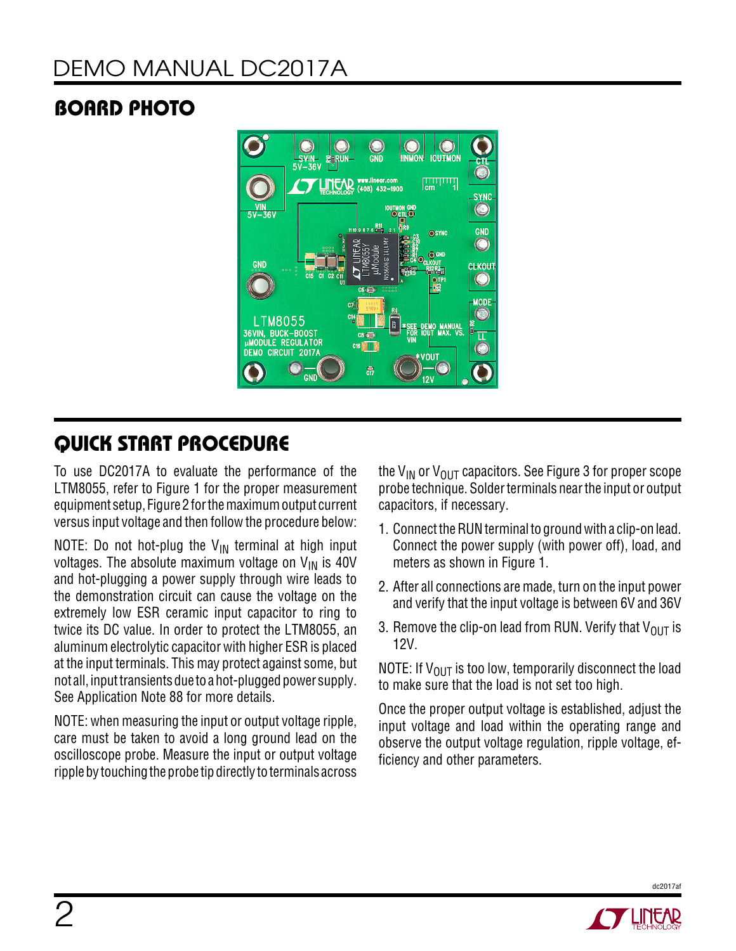## Board Photo



## Quick Start Procedure

To use DC2017A to evaluate the performance of the LTM8055, refer to Figure 1 for the proper measurement equipment setup, Figure 2 for the maximum output current versus input voltage and then followthe procedure below:

NOTE: Do not hot-plug the  $V_{IN}$  terminal at high input voltages. The absolute maximum voltage on  $V_{IN}$  is 40V and hot-plugging a power supply through wire leads to the demonstration circuit can cause the voltage on the extremely low ESR ceramic input capacitor to ring to twice its DC value. In order to protect the LTM8055, an aluminum electrolytic capacitor with higher ESR is placed at the input terminals. This may protect against some, but not all, input transients due to a hot-plugged power supply. See Application Note 88 for more details.

NOTE: when measuring the input or output voltage ripple, care must be taken to avoid a long ground lead on the oscilloscope probe. Measure the input or output voltage ripple by touching the probe tip directly to terminals across the V<sub>IN</sub> or V<sub>OUT</sub> capacitors. See Figure 3 for proper scope probe technique. Solder terminals near the input or output capacitors, if necessary.

- 1. Connect the RUN terminal to ground with a clip-on lead. Connect the power supply (with power off), load, and meters as shown in Figure 1.
- 2. After all connections are made, turn on the input power and verify that the input voltage is between 6V and 36V
- 3. Remove the clip-on lead from RUN. Verify that  $V_{OUT}$  is 12V.

NOTE: If  $V_{OUT}$  is too low, temporarily disconnect the load to make sure that the load is not set too high.

Once the proper output voltage is established, adjust the input voltage and load within the operating range and observe the output voltage regulation, ripple voltage, efficiency and other parameters.



dc2017af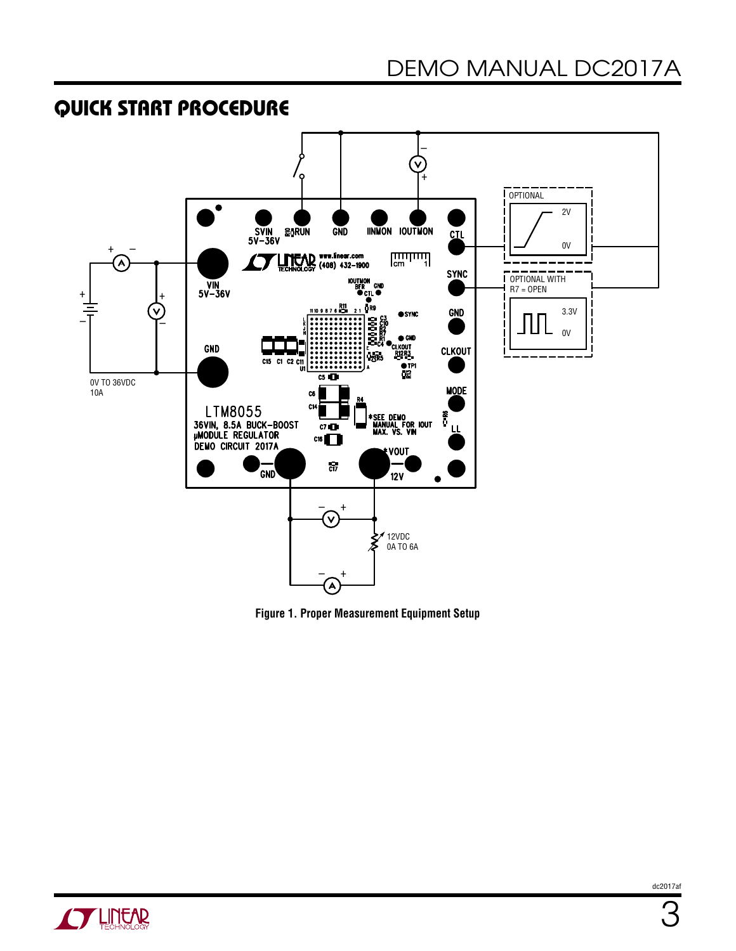#### Quick Start Procedure



**Figure 1. Proper Measurement Equipment Setup**

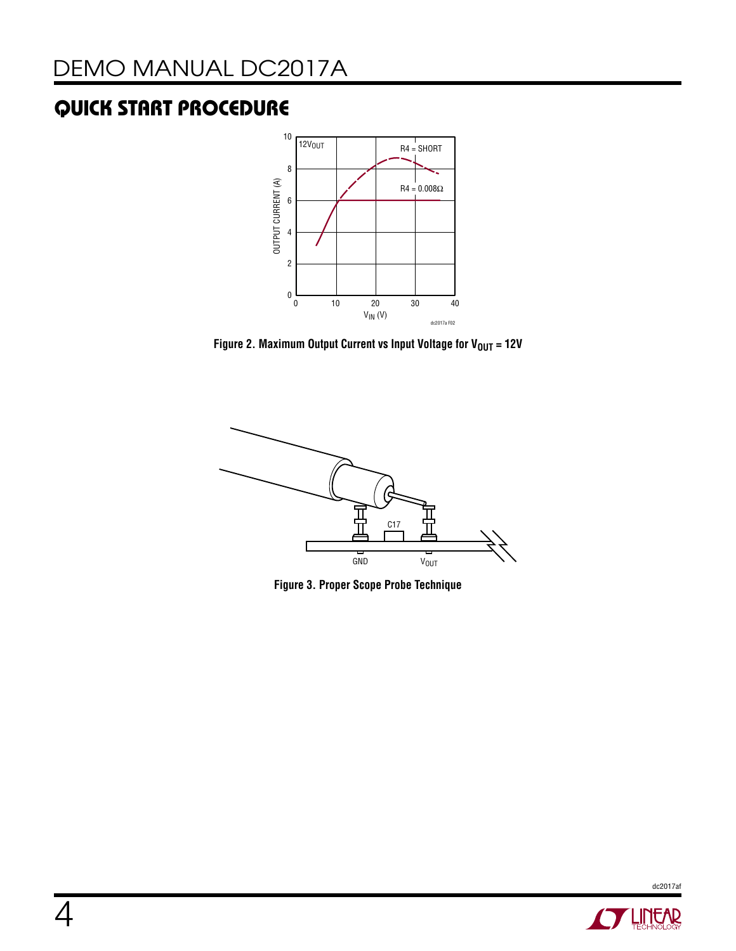## Quick Start Procedure



**Figure 2. Maximum Output Current vs Input Voltage for**  $V_{OUT} = 12V$ 



**Figure 3. Proper Scope Probe Technique**



dc2017af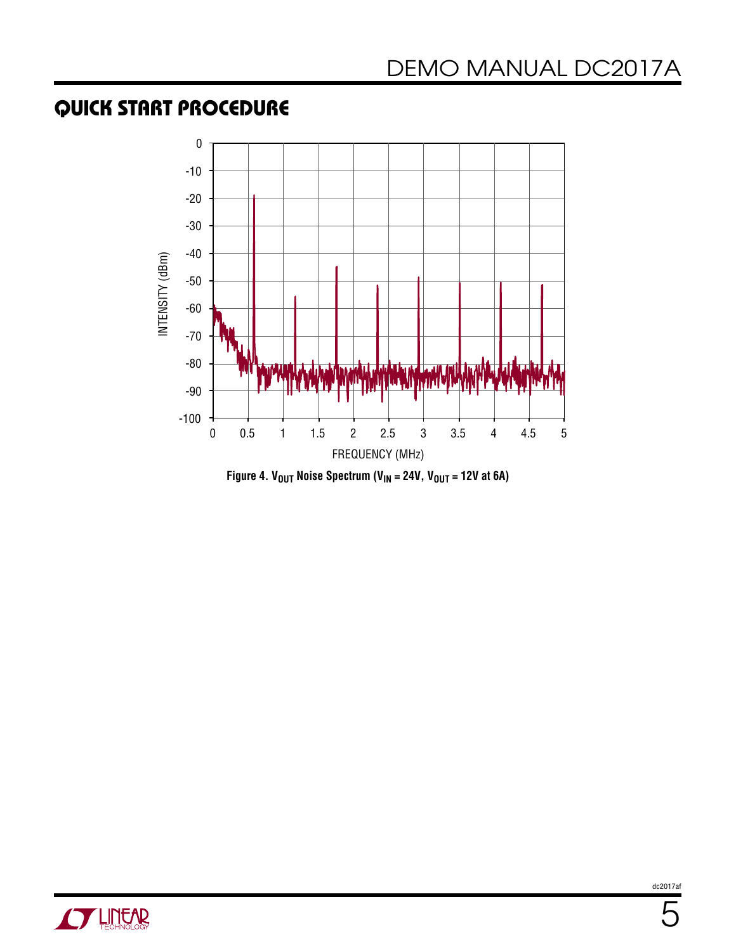#### Quick Start Procedure





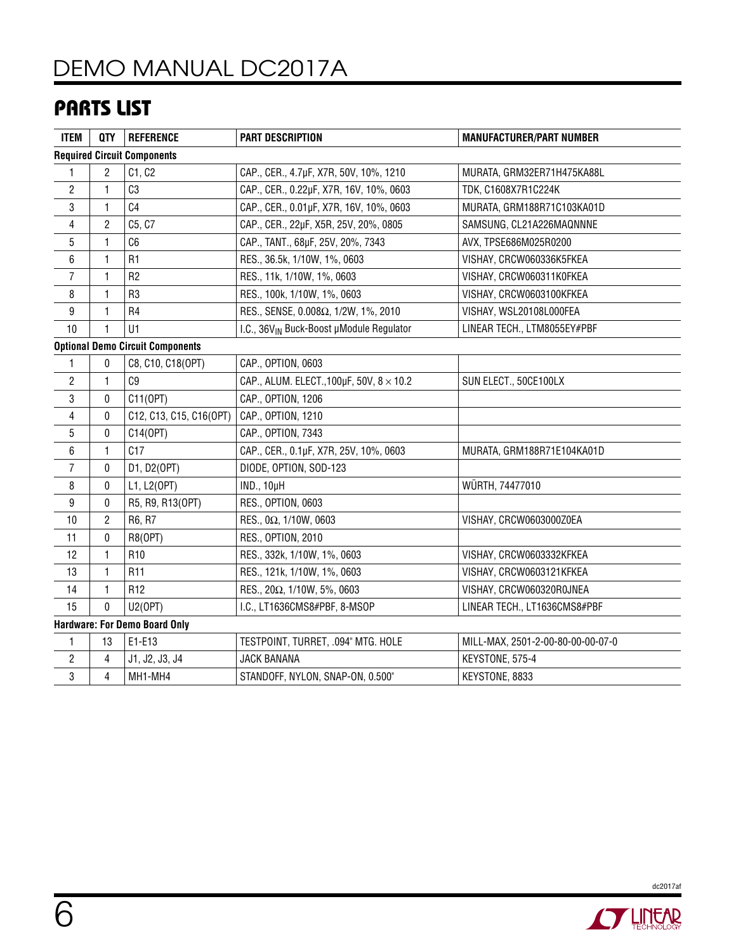#### Parts List

| <b>ITEM</b>                             | <b>QTY</b>     | <b>REFERENCE</b>        | <b>PART DESCRIPTION</b>                               | <b>MANUFACTURER/PART NUMBER</b>   |  |  |  |  |
|-----------------------------------------|----------------|-------------------------|-------------------------------------------------------|-----------------------------------|--|--|--|--|
| <b>Required Circuit Components</b>      |                |                         |                                                       |                                   |  |  |  |  |
| 1                                       | 2              | C1, C2                  | CAP., CER., 4.7µF, X7R, 50V, 10%, 1210                | MURATA, GRM32ER71H475KA88L        |  |  |  |  |
| $\overline{c}$                          | 1              | C3                      | CAP., CER., 0.22µF, X7R, 16V, 10%, 0603               | TDK, C1608X7R1C224K               |  |  |  |  |
| 3                                       | 1              | C <sub>4</sub>          | CAP., CER., 0.01µF, X7R, 16V, 10%, 0603               | MURATA, GRM188R71C103KA01D        |  |  |  |  |
| 4                                       | $\overline{c}$ | C5, C7                  | CAP., CER., 22µF, X5R, 25V, 20%, 0805                 | SAMSUNG, CL21A226MAQNNNE          |  |  |  |  |
| $\overline{5}$                          | $\mathbf{1}$   | C6                      | CAP., TANT., 68µF, 25V, 20%, 7343                     | AVX, TPSE686M025R0200             |  |  |  |  |
| 6                                       | 1              | R <sub>1</sub>          | RES., 36.5k, 1/10W, 1%, 0603                          | VISHAY, CRCW060336K5FKEA          |  |  |  |  |
| $\overline{7}$                          | 1              | R <sub>2</sub>          | RES., 11k, 1/10W, 1%, 0603                            | VISHAY, CRCW060311K0FKEA          |  |  |  |  |
| 8                                       | 1              | R <sub>3</sub>          | RES., 100k, 1/10W, 1%, 0603                           | VISHAY, CRCW0603100KFKEA          |  |  |  |  |
| 9                                       | 1              | R <sub>4</sub>          | RES., SENSE, 0.008Ω, 1/2W, 1%, 2010                   | VISHAY, WSL20108L000FEA           |  |  |  |  |
| 10                                      | 1              | U1                      | I.C., 36V <sub>IN</sub> Buck-Boost µModule Regulator  | LINEAR TECH., LTM8055EY#PBF       |  |  |  |  |
| <b>Optional Demo Circuit Components</b> |                |                         |                                                       |                                   |  |  |  |  |
| 1                                       | 0              | C8, C10, C18(OPT)       | CAP., OPTION, 0603                                    |                                   |  |  |  |  |
| $\overline{\mathbf{c}}$                 | 1              | C <sub>9</sub>          | CAP., ALUM. ELECT., 100 $\mu$ F, 50V, 8 $\times$ 10.2 | SUN ELECT., 50CE100LX             |  |  |  |  |
| 3                                       | 0              | C11(OPT)                | CAP., OPTION, 1206                                    |                                   |  |  |  |  |
| 4                                       | 0              | C12, C13, C15, C16(OPT) | CAP., OPTION, 1210                                    |                                   |  |  |  |  |
| 5                                       | 0              | C14(OPT)                | CAP., OPTION, 7343                                    |                                   |  |  |  |  |
| 6                                       | 1              | C17                     | CAP., CER., 0.1µF, X7R, 25V, 10%, 0603                | MURATA, GRM188R71E104KA01D        |  |  |  |  |
| $\overline{7}$                          | 0              | D1, D2(OPT)             | DIODE, OPTION, SOD-123                                |                                   |  |  |  |  |
| 8                                       | 0              | L1, L2(OPT)             | <b>IND., 10µH</b>                                     | WÜRTH, 74477010                   |  |  |  |  |
| 9                                       | 0              | R5, R9, R13(OPT)        | RES., OPTION, 0603                                    |                                   |  |  |  |  |
| 10                                      | $\overline{c}$ | R6, R7                  | RES., 0 $\Omega$ , 1/10W, 0603                        | VISHAY, CRCW0603000Z0EA           |  |  |  |  |
| 11                                      | 0              | R8(0PT)                 | RES., OPTION, 2010                                    |                                   |  |  |  |  |
| 12                                      | 1              | R <sub>10</sub>         | RES., 332k, 1/10W, 1%, 0603                           | VISHAY, CRCW0603332KFKEA          |  |  |  |  |
| 13                                      | 1              | R <sub>11</sub>         | RES., 121k, 1/10W, 1%, 0603                           | VISHAY, CRCW0603121KFKEA          |  |  |  |  |
| 14                                      | $\mathbf{1}$   | R12                     | RES., 20Ω, 1/10W, 5%, 0603                            | VISHAY, CRCW060320R0JNEA          |  |  |  |  |
| 15                                      | 0              | U2(OPT)                 | I.C., LT1636CMS8#PBF, 8-MSOP                          | LINEAR TECH., LT1636CMS8#PBF      |  |  |  |  |
| Hardware: For Demo Board Only           |                |                         |                                                       |                                   |  |  |  |  |
| 1                                       | 13             | E1-E13                  | TESTPOINT, TURRET, .094" MTG. HOLE                    | MILL-MAX, 2501-2-00-80-00-00-07-0 |  |  |  |  |
| $\boldsymbol{2}$                        | 4              | J1, J2, J3, J4          | <b>JACK BANANA</b>                                    | KEYSTONE, 575-4                   |  |  |  |  |
| 3                                       | 4              | MH1-MH4                 | STANDOFF, NYLON, SNAP-ON, 0.500"                      | KEYSTONE, 8833                    |  |  |  |  |
|                                         |                |                         |                                                       |                                   |  |  |  |  |

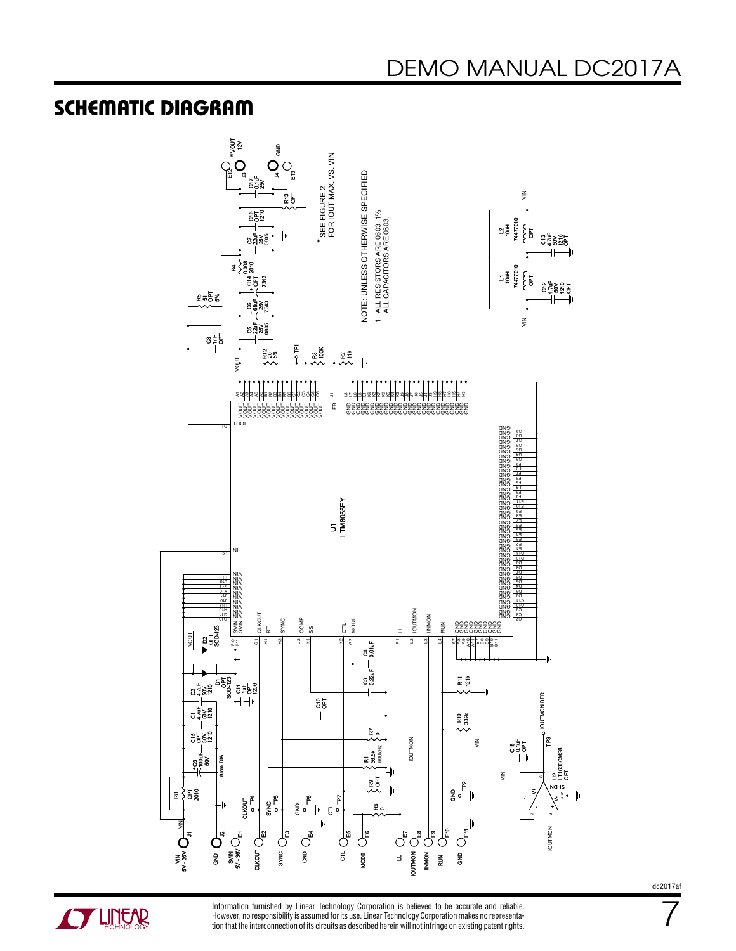#### SCHEMATIC DIAGRAM



**A LINEAR** 

Information furnished by Linear Technology Corporation is believed to be accurate and reliable. However, no responsibility is assumed for its use. Linear Technology Corporation makes no representation that the interconnection of its circuits as described herein will not infringe on existing patent rights. dc2017af

7